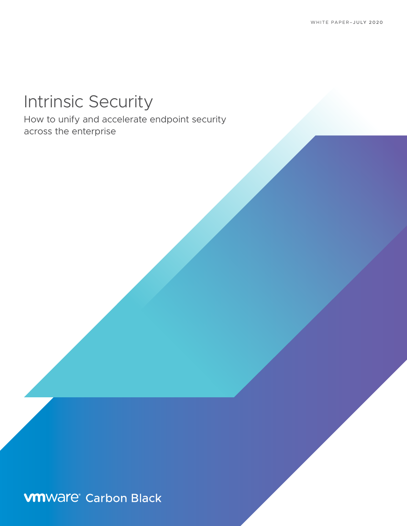# Intrinsic Security

How to unify and accelerate endpoint security across the enterprise

**vm**Ware<sup>®</sup> Carbon Black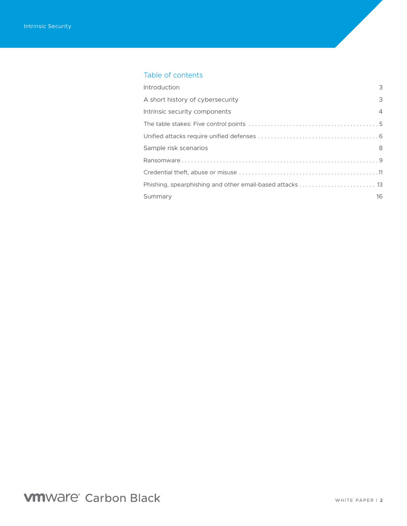### Table of contents

| Introduction                     | 3              |
|----------------------------------|----------------|
| A short history of cybersecurity | 3              |
| Intrinsic security components    | $\overline{4}$ |
|                                  |                |
|                                  |                |
| Sample risk scenarios            | 8              |
|                                  |                |
|                                  |                |
|                                  |                |
| Summary                          | 16             |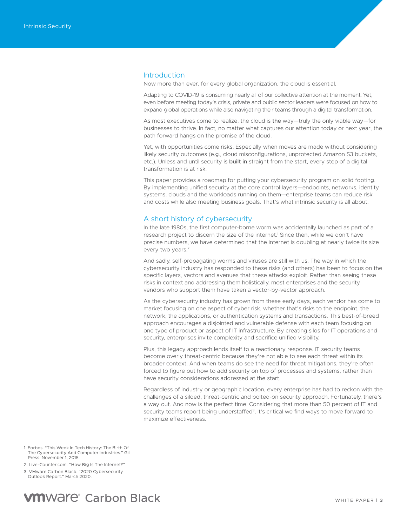### <span id="page-2-0"></span>Introduction

Now more than ever, for every global organization, the cloud is essential.

Adapting to COVID-19 is consuming nearly all of our collective attention at the moment. Yet, even before meeting today's crisis, private and public sector leaders were focused on how to expand global operations while also navigating their teams through a digital transformation.

As most executives come to realize, the cloud is the way—truly the only viable way—for businesses to thrive. In fact, no matter what captures our attention today or next year, the path forward hangs on the promise of the cloud.

Yet, with opportunities come risks. Especially when moves are made without considering likely security outcomes (e.g., cloud misconfigurations, unprotected Amazon S3 buckets, etc.). Unless and until security is built in straight from the start, every step of a digital transformation is at risk.

This paper provides a roadmap for putting your cybersecurity program on solid footing. By implementing unified security at the core control layers—endpoints, networks, identity systems, clouds and the workloads running on them—enterprise teams can reduce risk and costs while also meeting business goals. That's what intrinsic security is all about.

### A short history of cybersecurity

In the late 1980s, the first computer-borne worm was accidentally launched as part of a research project to discern the size of the internet.<sup>1</sup> Since then, while we don't have precise numbers, we have determined that the internet is doubling at nearly twice its size every two years.<sup>2</sup>

And sadly, self-propagating worms and viruses are still with us. The way in which the cybersecurity industry has responded to these risks (and others) has been to focus on the specific layers, vectors and avenues that these attacks exploit. Rather than seeing these risks in context and addressing them holistically, most enterprises and the security vendors who support them have taken a vector-by-vector approach.

As the cybersecurity industry has grown from these early days, each vendor has come to market focusing on one aspect of cyber risk, whether that's risks to the endpoint, the network, the applications, or authentication systems and transactions. This best-of-breed approach encourages a disjointed and vulnerable defense with each team focusing on one type of product or aspect of IT infrastructure. By creating silos for IT operations and security, enterprises invite complexity and sacrifice unified visibility.

Plus, this legacy approach lends itself to a reactionary response. IT security teams become overly threat-centric because they're not able to see each threat within its broader context. And when teams do see the need for threat mitigations, they're often forced to figure out how to add security on top of processes and systems, rather than have security considerations addressed at the start.

Regardless of industry or geographic location, every enterprise has had to reckon with the challenges of a siloed, threat-centric and bolted-on security approach. Fortunately, there's a way out. And now is the perfect time. Considering that more than 50 percent of IT and security teams report being understaffed<sup>3</sup>, it's critical we find ways to move forward to maximize effectiveness.

3. VMware Carbon Black. "2020 Cybersecurity Outlook Report." March 2020.

**VMWare**<sup>®</sup> Carbon Black

<sup>1.</sup> Forbes. "This Week In Tech History: The Birth Of The Cybersecurity And Computer Industries." Gil Press. November 1, 2015.

<sup>2.</sup> Live-Counter.com. "How Big Is The Internet?"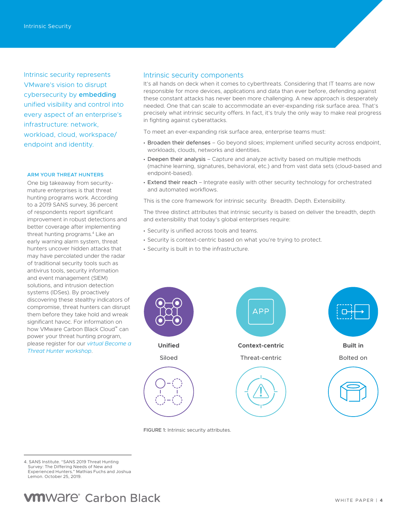<span id="page-3-0"></span>Intrinsic security represents VMware's vision to disrupt cybersecurity by embedding unified visibility and control into every aspect of an enterprise's infrastructure: network, workload, cloud, workspace/ endpoint and identity.

### ARM YOUR THREAT HUNTERS

One big takeaway from securitymature enterprises is that threat hunting programs work. According to a 2019 SANS survey, 36 percent of respondents report significant improvement in robust detections and better coverage after implementing threat hunting programs.<sup>4</sup> Like an early warning alarm system, threat hunters uncover hidden attacks that may have percolated under the radar of traditional security tools such as antivirus tools, security information and event management (SIEM) solutions, and intrusion detection systems (IDSes). By proactively discovering these stealthy indicators of compromise, threat hunters can disrupt them before they take hold and wreak significant havoc. For information on how VMware Carbon Black Cloud™ can power your threat hunting program, please register for our *[virtual Become a](https://www.carbonblack.com/resource/virtual-become-a-threat-hunter-workshop/)  [Threat Hunter workshop](https://www.carbonblack.com/resource/virtual-become-a-threat-hunter-workshop/)*.

### Intrinsic security components

It's all hands on deck when it comes to cyberthreats. Considering that IT teams are now responsible for more devices, applications and data than ever before, defending against these constant attacks has never been more challenging. A new approach is desperately needed. One that can scale to accommodate an ever-expanding risk surface area. That's precisely what intrinsic security offers. In fact, it's truly the only way to make real progress in fighting against cyberattacks.

To meet an ever-expanding risk surface area, enterprise teams must:

- Broaden their defenses Go beyond siloes; implement unified security across endpoint, workloads, clouds, networks and identities.
- Deepen their analysis Capture and analyze activity based on multiple methods (machine learning, signatures, behavioral, etc.) and from vast data sets (cloud-based and endpoint-based).
- Extend their reach Integrate easily with other security technology for orchestrated and automated workflows.

This is the core framework for intrinsic security. Breadth. Depth. Extensibility.

The three distinct attributes that intrinsic security is based on deliver the breadth, depth and extensibility that today's global enterprises require:

- Security is unified across tools and teams.
- Security is context-centric based on what you're trying to protect.
- Security is built in to the infrastructure.



FIGURE 1: Intrinsic security attributes.

4. SANS Institute. "SANS 2019 Threat Hunting Survey: The Differing Needs of New and Experienced Hunters." Mathias Fuchs and Joshua Lemon. October 25, 2019.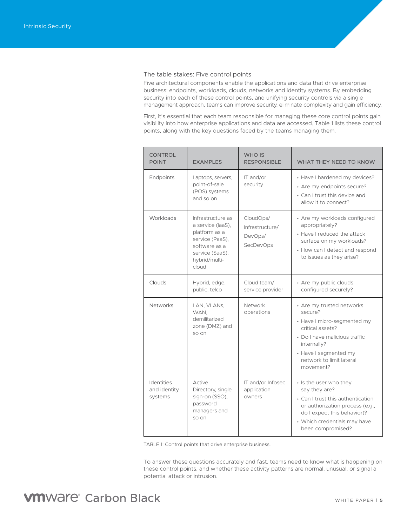### <span id="page-4-0"></span>The table stakes: Five control points

Five architectural components enable the applications and data that drive enterprise business: endpoints, workloads, clouds, networks and identity systems. By embedding security into each of these control points, and unifying security controls via a single management approach, teams can improve security, eliminate complexity and gain efficiency.

First, it's essential that each team responsible for managing these core control points gain visibility into how enterprise applications and data are accessed. Table 1 lists these control points, along with the key questions faced by the teams managing them.

| <b>CONTROL</b><br><b>POINT</b>               | <b>EXAMPLES</b>                                                                                                                          | WHO IS<br><b>RESPONSIBLE</b>                         | <b>WHAT THEY NEED TO KNOW</b>                                                                                                                                                                             |
|----------------------------------------------|------------------------------------------------------------------------------------------------------------------------------------------|------------------------------------------------------|-----------------------------------------------------------------------------------------------------------------------------------------------------------------------------------------------------------|
| Endpoints                                    | Laptops, servers,<br>point-of-sale<br>(POS) systems<br>and so on                                                                         | IT and/or<br>security                                | • Have I hardened my devices?<br>• Are my endpoints secure?<br>• Can I trust this device and<br>allow it to connect?                                                                                      |
| Workloads                                    | Infrastructure as<br>a service (laaS).<br>platform as a<br>service (PaaS),<br>software as a<br>service (SaaS),<br>hybrid/multi-<br>cloud | CloudOps/<br>Infrastructure/<br>DevOps/<br>SecDevOps | • Are my workloads configured<br>appropriately?<br>• Have I reduced the attack<br>surface on my workloads?<br>• How can I detect and respond<br>to issues as they arise?                                  |
| Clouds                                       | Hybrid, edge,<br>public, telco                                                                                                           | Cloud team/<br>service provider                      | • Are my public clouds<br>configured securely?                                                                                                                                                            |
| <b>Networks</b>                              | LAN, VLANs,<br>WAN,<br>demilitarized<br>zone (DMZ) and<br>so on                                                                          | Network<br>operations                                | • Are my trusted networks<br>secure?<br>• Have I micro-segmented my<br>critical assets?<br>• Do I have malicious traffic<br>internally?<br>• Have I segmented my<br>network to limit lateral<br>movement? |
| <b>Identities</b><br>and identity<br>systems | Active<br>Directory, single<br>sign-on (SSO),<br>password<br>managers and<br>so on                                                       | IT and/or Infosec<br>application<br>owners           | • Is the user who they<br>say they are?<br>• Can I trust this authentication<br>or authorization process (e.g.,<br>do I expect this behavior)?<br>• Which credentials may have<br>been compromised?       |

TABLE 1: Control points that drive enterprise business.

To answer these questions accurately and fast, teams need to know what is happening on these control points, and whether these activity patterns are normal, unusual, or signal a potential attack or intrusion.

## **VM**Ware<sup>®</sup> Carbon Black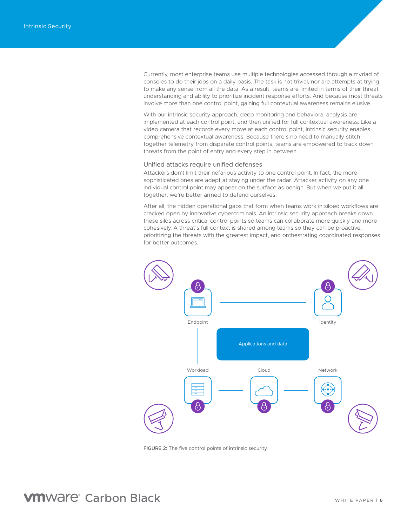<span id="page-5-0"></span>Currently, most enterprise teams use multiple technologies accessed through a myriad of consoles to do their jobs on a daily basis. The task is not trivial, nor are attempts at trying to make any sense from all the data. As a result, teams are limited in terms of their threat understanding and ability to prioritize incident response efforts. And because most threats involve more than one control point, gaining full contextual awareness remains elusive.

With our intrinsic security approach, deep monitoring and behavioral analysis are implemented at each control point, and then unified for full contextual awareness. Like a video camera that records every move at each control point, intrinsic security enables comprehensive contextual awareness. Because there's no need to manually stitch together telemetry from disparate control points, teams are empowered to track down threats from the point of entry and every step in between.

### Unified attacks require unified defenses

Attackers don't limit their nefarious activity to one control point. In fact, the more sophisticated ones are adept at staying under the radar. Attacker activity on any one individual control point may appear on the surface as benign. But when we put it all together, we're better armed to defend ourselves.

After all, the hidden operational gaps that form when teams work in siloed workflows are cracked open by innovative cybercriminals. An intrinsic security approach breaks down these silos across critical control points so teams can collaborate more quickly and more cohesively. A threat's full context is shared among teams so they can be proactive, prioritizing the threats with the greatest impact, and orchestrating coordinated responses for better outcomes.



FIGURE 2: The five control points of intrinsic security.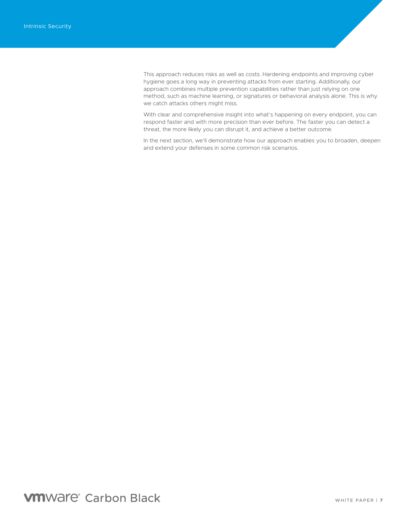This approach reduces risks as well as costs. Hardening endpoints and improving cyber hygiene goes a long way in preventing attacks from ever starting. Additionally, our approach combines multiple prevention capabilities rather than just relying on one method, such as machine learning, or signatures or behavioral analysis alone. This is why we catch attacks others might miss.

With clear and comprehensive insight into what's happening on every endpoint, you can respond faster and with more precision than ever before. The faster you can detect a threat, the more likely you can disrupt it, and achieve a better outcome.

In the next section, we'll demonstrate how our approach enables you to broaden, deepen and extend your defenses in some common risk scenarios.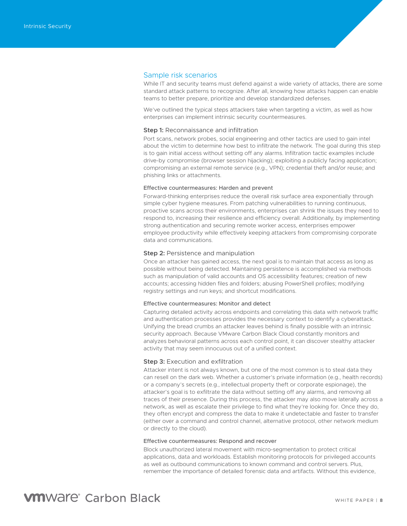### <span id="page-7-0"></span>Sample risk scenarios

While IT and security teams must defend against a wide variety of attacks, there are some standard attack patterns to recognize. After all, knowing how attacks happen can enable teams to better prepare, prioritize and develop standardized defenses.

We've outlined the typical steps attackers take when targeting a victim, as well as how enterprises can implement intrinsic security countermeasures.

### **Step 1:** Reconnaissance and infiltration

Port scans, network probes, social engineering and other tactics are used to gain intel about the victim to determine how best to infiltrate the network. The goal during this step is to gain initial access without setting off any alarms. Infiltration tactic examples include drive-by compromise (browser session hijacking); exploiting a publicly facing application; compromising an external remote service (e.g., VPN); credential theft and/or reuse; and phishing links or attachments.

### Effective countermeasures: Harden and prevent

Forward-thinking enterprises reduce the overall risk surface area exponentially through simple cyber hygiene measures. From patching vulnerabilities to running continuous, proactive scans across their environments, enterprises can shrink the issues they need to respond to, increasing their resilience and efficiency overall. Additionally, by implementing strong authentication and securing remote worker access, enterprises empower employee productivity while effectively keeping attackers from compromising corporate data and communications.

#### **Step 2:** Persistence and manipulation

Once an attacker has gained access, the next goal is to maintain that access as long as possible without being detected. Maintaining persistence is accomplished via methods such as manipulation of valid accounts and OS accessibility features; creation of new accounts; accessing hidden files and folders; abusing PowerShell profiles; modifying registry settings and run keys; and shortcut modifications.

#### Effective countermeasures: Monitor and detect

Capturing detailed activity across endpoints and correlating this data with network traffic and authentication processes provides the necessary context to identify a cyberattack. Unifying the bread crumbs an attacker leaves behind is finally possible with an intrinsic security approach. Because VMware Carbon Black Cloud constantly monitors and analyzes behavioral patterns across each control point, it can discover stealthy attacker activity that may seem innocuous out of a unified context.

### **Step 3:** Execution and exfiltration

Attacker intent is not always known, but one of the most common is to steal data they can resell on the dark web. Whether a customer's private information (e.g., health records) or a company's secrets (e.g., intellectual property theft or corporate espionage), the attacker's goal is to exfiltrate the data without setting off any alarms, and removing all traces of their presence. During this process, the attacker may also move laterally across a network, as well as escalate their privilege to find what they're looking for. Once they do, they often encrypt and compress the data to make it undetectable and faster to transfer (either over a command and control channel, alternative protocol, other network medium or directly to the cloud).

### Effective countermeasures: Respond and recover

Block unauthorized lateral movement with micro-segmentation to protect critical applications, data and workloads. Establish monitoring protocols for privileged accounts as well as outbound communications to known command and control servers. Plus, remember the importance of detailed forensic data and artifacts. Without this evidence,

### **VM**Ware<sup>®</sup> Carbon Black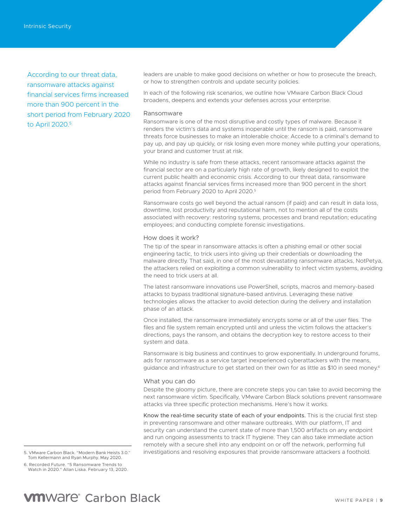<span id="page-8-0"></span>According to our threat data, ransomware attacks against financial services firms increased more than 900 percent in the short period from February 2020 to April 2020.5

leaders are unable to make good decisions on whether or how to prosecute the breach, or how to strengthen controls and update security policies.

In each of the following risk scenarios, we outline how VMware Carbon Black Cloud broadens, deepens and extends your defenses across your enterprise.

### Ransomware

Ransomware is one of the most disruptive and costly types of malware. Because it renders the victim's data and systems inoperable until the ransom is paid, ransomware threats force businesses to make an intolerable choice: Accede to a criminal's demand to pay up, and pay up quickly, or risk losing even more money while putting your operations, your brand and customer trust at risk.

While no industry is safe from these attacks, recent ransomware attacks against the financial sector are on a particularly high rate of growth, likely designed to exploit the current public health and economic crisis. According to our threat data, ransomware attacks against financial services firms increased more than 900 percent in the short period from February 2020 to April 2020.5

Ransomware costs go well beyond the actual ransom (if paid) and can result in data loss, downtime, lost productivity and reputational harm, not to mention all of the costs associated with recovery: restoring systems, processes and brand reputation; educating employees; and conducting complete forensic investigations.

### How does it work?

The tip of the spear in ransomware attacks is often a phishing email or other social engineering tactic, to trick users into giving up their credentials or downloading the malware directly. That said, in one of the most devastating ransomware attacks, NotPetya, the attackers relied on exploiting a common vulnerability to infect victim systems, avoiding the need to trick users at all.

The latest ransomware innovations use PowerShell, scripts, macros and memory-based attacks to bypass traditional signature-based antivirus. Leveraging these native technologies allows the attacker to avoid detection during the delivery and installation phase of an attack.

Once installed, the ransomware immediately encrypts some or all of the user files. The files and file system remain encrypted until and unless the victim follows the attacker's directions, pays the ransom, and obtains the decryption key to restore access to their system and data.

Ransomware is big business and continues to grow exponentially. In underground forums, ads for ransomware as a service target inexperienced cyberattackers with the means, guidance and infrastructure to get started on their own for as little as \$10 in seed money.<sup>6</sup>

### What you can do

Despite the gloomy picture, there are concrete steps you can take to avoid becoming the next ransomware victim. Specifically, VMware Carbon Black solutions prevent ransomware attacks via three specific protection mechanisms. Here's how it works.

Know the real-time security state of each of your endpoints. This is the crucial first step in preventing ransomware and other malware outbreaks. With our platform, IT and security can understand the current state of more than 1,500 artifacts on any endpoint and run ongoing assessments to track IT hygiene. They can also take immediate action remotely with a secure shell into any endpoint on or off the network, performing full investigations and resolving exposures that provide ransomware attackers a foothold.

6. Recorded Future. "5 Ransomware Trends to Watch in 2020." Allan Liska. February 13, 2020.

<sup>5.</sup> VMware Carbon Black. "Modern Bank Heists 3.0." Tom Kellermann and Ryan Murphy. May 2020.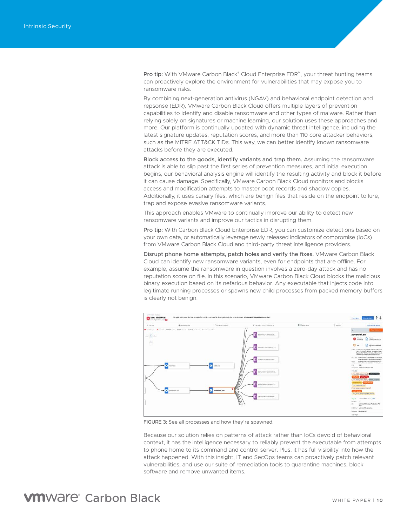Pro tip: With VMware Carbon Black® Cloud Enterprise EDR™, your threat hunting teams can proactively explore the environment for vulnerabilities that may expose you to ransomware risks.

By combining next-generation antivirus (NGAV) and behavioral endpoint detection and repsonse (EDR), VMware Carbon Black Cloud offers multiple layers of prevention capabilities to identify and disable ransomware and other types of malware. Rather than relying solely on signatures or machine learning, our solution uses these approaches and more. Our platform is continually updated with dynamic threat intelligence, including the latest signature updates, reputation scores, and more than 110 core attacker behaviors, such as the MITRE ATT&CK TIDs. This way, we can better identify known ransomware attacks before they are executed.

Block access to the goods, identify variants and trap them. Assuming the ransomware attack is able to slip past the first series of prevention measures, and initial execution begins, our behavioral analysis engine will identify the resulting activity and block it before it can cause damage. Specifically, VMware Carbon Black Cloud monitors and blocks access and modification attempts to master boot records and shadow copies. Additionally, it uses canary files, which are benign files that reside on the endpoint to lure, trap and expose evasive ransomware variants.

This approach enables VMware to continually improve our ability to detect new ransomware variants and improve our tactics in disrupting them.

Pro tip: With Carbon Black Cloud Enterprise EDR, you can customize detections based on your own data, or automatically leverage newly released indicators of compromise (IoCs) from VMware Carbon Black Cloud and third-party threat intelligence providers.

Disrupt phone home attempts, patch holes and verify the fixes. VMware Carbon Black Cloud can identify new ransomware variants, even for endpoints that are offline. For example, assume the ransomware in question involves a zero-day attack and has no reputation score on file. In this scenario, VMware Carbon Black Cloud blocks the malicious binary execution based on its nefarious behavior. Any executable that injects code into legitimate running processes or spawns new child processes from packed memory buffers is clearly not benign.



FIGURE 3: See all processes and how they're spawned.

Because our solution relies on patterns of attack rather than IoCs devoid of behavioral context, it has the intelligence necessary to reliably prevent the executable from attempts to phone home to its command and control server. Plus, it has full visibility into how the attack happened. With this insight, IT and SecOps teams can proactively patch relevant vulnerabilities, and use our suite of remediation tools to quarantine machines, block software and remove unwanted items.

### **VM**Ware<sup>®</sup> Carbon Black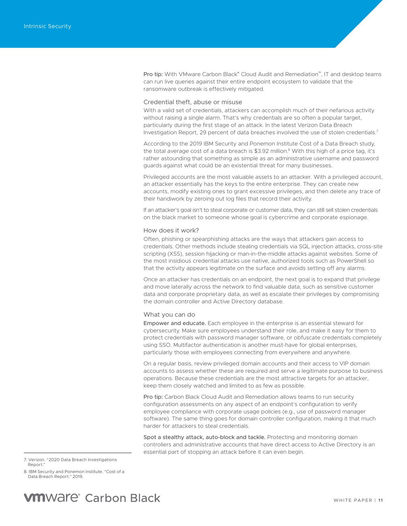<span id="page-10-0"></span>Pro tip: With VMware Carbon Black® Cloud Audit and Remediation™, IT and desktop teams can run live queries against their entire endpoint ecosystem to validate that the ransomware outbreak is effectively mitigated.

### Credential theft, abuse or misuse

With a valid set of credentials, attackers can accomplish much of their nefarious activity without raising a single alarm. That's why credentials are so often a popular target, particularly during the first stage of an attack. In the latest Verizon Data Breach Investigation Report, 29 percent of data breaches involved the use of stolen credentials.<sup>7</sup>

According to the 2019 IBM Security and Ponemon Institute Cost of a Data Breach study, the total average cost of a data breach is \$3.92 million.<sup>8</sup> With this high of a price tag, it's rather astounding that something as simple as an administrative username and password guards against what could be an existential threat for many businesses.

Privileged accounts are the most valuable assets to an attacker. With a privileged account, an attacker essentially has the keys to the entire enterprise. They can create new accounts, modify existing ones to grant excessive privileges, and then delete any trace of their handiwork by zeroing out log files that record their activity.

If an attacker's goal isn't to steal corporate or customer data, they can still sell stolen credentials on the black market to someone whose goal is cybercrime and corporate espionage.

### How does it work?

Often, phishing or spearphishing attacks are the ways that attackers gain access to credentials. Other methods include stealing credentials via SQL injection attacks, cross-site scripting (XSS), session hijacking or man-in-the-middle attacks against websites. Some of the most insidious credential attacks use native, authorized tools such as PowerShell so that the activity appears legitimate on the surface and avoids setting off any alarms.

Once an attacker has credentials on an endpoint, the next goal is to expand that privilege and move laterally across the network to find valuable data, such as sensitive customer data and corporate proprietary data, as well as escalate their privileges by compromising the domain controller and Active Directory database.

### What you can do

Empower and educate. Each employee in the enterprise is an essential steward for cybersecurity. Make sure employees understand their role, and make it easy for them to protect credentials with password manager software, or obfuscate credentials completely using SSO. Multifactor authentication is another must-have for global enterprises, particularly those with employees connecting from everywhere and anywhere.

On a regular basis, review privileged domain accounts and their access to VIP domain accounts to assess whether these are required and serve a legitimate purpose to business operations. Because these credentials are the most attractive targets for an attacker, keep them closely watched and limited to as few as possible.

Pro tip: Carbon Black Cloud Audit and Remediation allows teams to run security configuration assessments on any aspect of an endpoint's configuration to verify employee compliance with corporate usage policies (e.g., use of password manager software). The same thing goes for domain controller configuration, making it that much harder for attackers to steal credentials.

Spot a stealthy attack, auto-block and tackle. Protecting and monitoring domain controllers and administrative accounts that have direct access to Active Directory is an essential part of stopping an attack before it can even begin.

8. IBM Security and Ponemon Institute. "Cost of a Data Breach Report." 2019.

<sup>7.</sup> Verizon. "2020 Data Breach Investigations Report.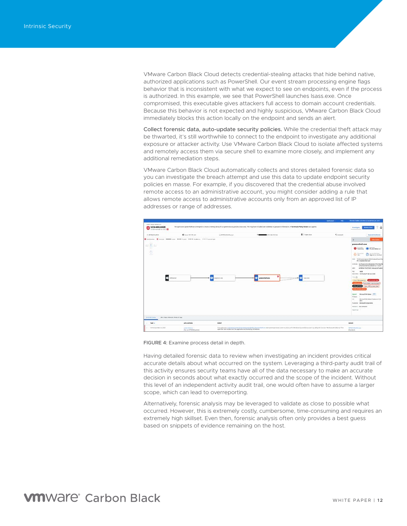VMware Carbon Black Cloud detects credential-stealing attacks that hide behind native, authorized applications such as PowerShell. Our event stream processing engine flags behavior that is inconsistent with what we expect to see on endpoints, even if the process is authorized. In this example, we see that PowerShell launches lsass.exe. Once compromised, this executable gives attackers full access to domain account credentials. Because this behavior is not expected and highly suspicious, VMware Carbon Black Cloud immediately blocks this action locally on the endpoint and sends an alert.

Collect forensic data, auto-update security policies. While the credential theft attack may be thwarted, it's still worthwhile to connect to the endpoint to investigate any additional exposure or attacker activity. Use VMware Carbon Black Cloud to isolate affected systems and remotely access them via secure shell to examine more closely, and implement any additional remediation steps.

VMware Carbon Black Cloud automatically collects and stores detailed forensic data so you can investigate the breach attempt and use this data to update endpoint security policies en masse. For example, if you discovered that the credential abuse involved remote access to an administrative account, you might consider adding a rule that allows remote access to administrative accounts only from an approved list of IP addresses or range of addresses.



### FIGURE 4: Examine process detail in depth.

Having detailed forensic data to review when investigating an incident provides critical accurate details about what occurred on the system. Leveraging a third-party audit trail of this activity ensures security teams have all of the data necessary to make an accurate decision in seconds about what exactly occurred and the scope of the incident. Without this level of an independent activity audit trail, one would often have to assume a larger scope, which can lead to overreporting.

Alternatively, forensic analysis may be leveraged to validate as close to possible what occurred. However, this is extremely costly, cumbersome, time-consuming and requires an extremely high skillset. Even then, forensic analysis often only provides a best guess based on snippets of evidence remaining on the host.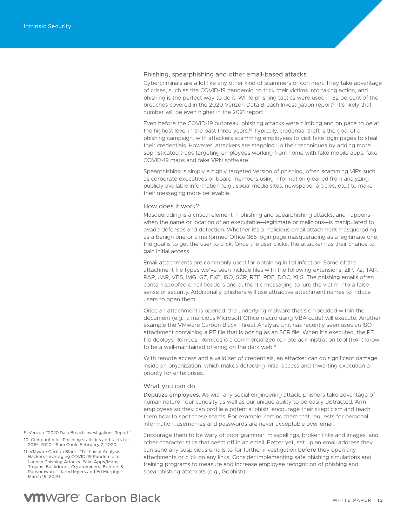### <span id="page-12-0"></span>Phishing, spearphishing and other email-based attacks

Cybercriminals are a lot like any other kind of scammers or con men. They take advantage of crises, such as the COVID-19 pandemic, to trick their victims into taking action, and phishing is the perfect way to do it. While phishing tactics were used in 32 percent of the breaches covered in the 2020 Verizon Data Breach Investigation report<sup>9</sup>, it's likely that number will be even higher in the 2021 report.

Even before the COVID-19 outbreak, phishing attacks were climbing and on pace to be at the highest level in the past three years.<sup>10</sup> Typically, credential theft is the goal of a phishing campaign, with attackers scamming employees to visit fake login pages to steal their credentials. However, attackers are stepping up their techniques by adding more sophisticated traps targeting employees working from home with fake mobile apps, fake COVID-19 maps and fake VPN software.

Spearphishing is simply a highly targeted version of phishing, often scamming VIPs such as corporate executives or board members using information gleaned from analyzing publicly available information (e.g., social media sites, newspaper articles, etc.) to make their messaging more believable.

#### How does it work?

Masquerading is a critical element in phishing and spearphishing attacks, and happens when the name or location of an executable—legitimate or malicious—is manipulated to evade defenses and detection. Whether it's a malicious email attachment masquerading as a benign one or a malformed Office 365 login page masquerading as a legitimate one, the goal is to get the user to click. Once the user clicks, the attacker has their chance to gain initial access.

Email attachments are commonly used for obtaining initial infection. Some of the attachment file types we've seen include files with the following extensions: ZIP, 7Z, TAR, RAR, JAR, VBS, IMG, GZ, EXE, ISO, SCR, RTF, PDF, DOC, XLS. The phishing emails often contain spoofed email headers and authentic messaging to lure the victim into a false sense of security. Additionally, phishers will use attractive attachment names to induce users to open them.

Once an attachment is opened, the underlying malware that's embedded within the document (e.g., a malicious Microsoft Office macro using VBA code) will execute. Another example the VMware Carbon Black Threat Analysis Unit has recently seen uses an ISO attachment containing a PE file that is posing as an SCR file. When it's executed, the PE file deploys RemCos. RemCos is a commercialized remote administration tool (RAT) known to be a well-maintained offering on the dark web.<sup>11</sup>

With remote access and a valid set of credentials, an attacker can do significant damage inside an organization, which makes detecting initial access and thwarting execution a priority for enterprises.

### What you can do

Deputize employees. As with any social engineering attack, phishers take advantage of human nature—our curiosity as well as our unique ability to be easily distracted. Arm employees so they can profile a potential phish, encourage their skepticism and teach them how to spot these scams. For example, remind them that requests for personal information, usernames and passwords are never acceptable over email.

Encourage them to be wary of poor grammar, misspellings, broken links and images, and other characteristics that seem off in an email. Better yet, set up an email address they can send any suspicious emails to for further investigation before they open any attachments or click on any links. Consider implementing safe phishing simulations and training programs to measure and increase employee recognition of phishing and spearphishing attempts (e.g., Gophish).

<sup>9.</sup> Verizon. "2020 Data Breach Investigations Report."

<sup>10.</sup> Comparitech. "Phishing statistics and facts for 2019–2020." Sam Cook. February 7, 2020.

<sup>11.</sup> VMware Carbon Black. "Technical Analysis: Hackers Leveraging COVID-19 Pandemic to Launch Phishing Attacks, Fake Apps/Maps, Trojans, Backdoors, Cryptominers, Botnets & Ransomware." Jared Myers and Ed Murphy. March 19, 2020.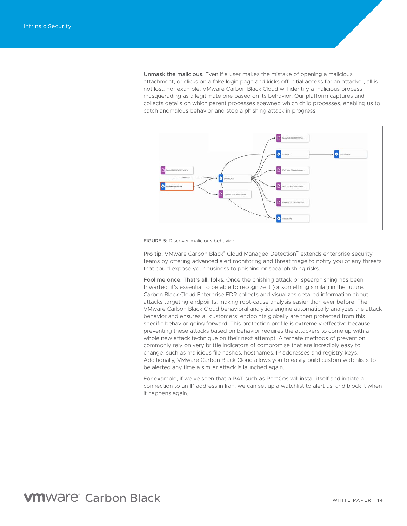Unmask the malicious. Even if a user makes the mistake of opening a malicious attachment, or clicks on a fake login page and kicks off initial access for an attacker, all is not lost. For example, VMware Carbon Black Cloud will identify a malicious process masquerading as a legitimate one based on its behavior. Our platform captures and collects details on which parent processes spawned which child processes, enabling us to catch anomalous behavior and stop a phishing attack in progress.



FIGURE 5: Discover malicious behavior.

Pro tip: ∨Mware Carbon Black® Cloud Managed Detection™ extends enterprise security teams by offering advanced alert monitoring and threat triage to notify you of any threats that could expose your business to phishing or spearphishing risks.

Fool me once. That's all, folks. Once the phishing attack or spearphishing has been thwarted, it's essential to be able to recognize it (or something similar) in the future. Carbon Black Cloud Enterprise EDR collects and visualizes detailed information about attacks targeting endpoints, making root-cause analysis easier than ever before. The VMware Carbon Black Cloud behavioral analytics engine automatically analyzes the attack behavior and ensures all customers' endpoints globally are then protected from this specific behavior going forward. This protection profile is extremely effective because preventing these attacks based on behavior requires the attackers to come up with a whole new attack technique on their next attempt. Alternate methods of prevention commonly rely on very brittle indicators of compromise that are incredibly easy to change, such as malicious file hashes, hostnames, IP addresses and registry keys. Additionally, VMware Carbon Black Cloud allows you to easily build custom watchlists to be alerted any time a similar attack is launched again.

For example, if we've seen that a RAT such as RemCos will install itself and initiate a connection to an IP address in Iran, we can set up a watchlist to alert us, and block it when it happens again.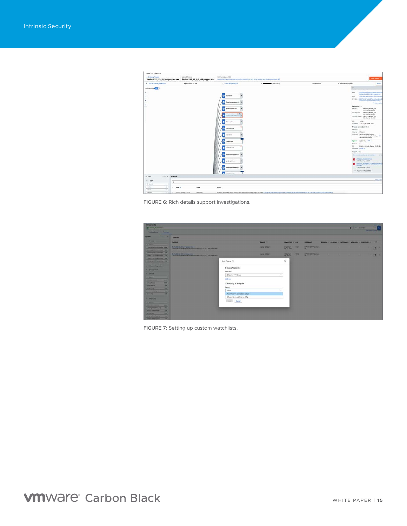| PROCESS ANALYSIS                     |                                |                                                                                                                                                                                                                                                                                                                                                                           |                                                                                                                                                                                      |                     |                                                                                                                                                                                                                 |                                                                                                                                                                                                                                                                                                                                                                                                                                                                                                                                                                                                                                                                                                                                                                                                                                                 |
|--------------------------------------|--------------------------------|---------------------------------------------------------------------------------------------------------------------------------------------------------------------------------------------------------------------------------------------------------------------------------------------------------------------------------------------------------------------------|--------------------------------------------------------------------------------------------------------------------------------------------------------------------------------------|---------------------|-----------------------------------------------------------------------------------------------------------------------------------------------------------------------------------------------------------------|-------------------------------------------------------------------------------------------------------------------------------------------------------------------------------------------------------------------------------------------------------------------------------------------------------------------------------------------------------------------------------------------------------------------------------------------------------------------------------------------------------------------------------------------------------------------------------------------------------------------------------------------------------------------------------------------------------------------------------------------------------------------------------------------------------------------------------------------------|
| <b>A. Protacy Process</b>            | <b>Selected Printerio</b>      | 14325 prizzy 4, 2016<br>flashutil32.32.0.0.344.pepper.exe flashutil32.32.0.0.344.pepper.exe constitutional particle and the first projection of the flashutility and the projection of                                                                                                                                                                                    |                                                                                                                                                                                      |                     |                                                                                                                                                                                                                 | <b>Glen Automobile</b>                                                                                                                                                                                                                                                                                                                                                                                                                                                                                                                                                                                                                                                                                                                                                                                                                          |
| A LUITOR GROSSOCIATIVE               | <b>RE Windows 55 (d.d.)</b>    | C) LAPICE-DASTROLE                                                                                                                                                                                                                                                                                                                                                        | 197,000,000 000                                                                                                                                                                      | <b>CIT Franklin</b> | <sup>2</sup> Remain Employees                                                                                                                                                                                   | Wate                                                                                                                                                                                                                                                                                                                                                                                                                                                                                                                                                                                                                                                                                                                                                                                                                                            |
| <b>Dreamly ham</b><br>٠<br>$\sim$    |                                | ×<br>of unknown<br>٠<br>fairginmarktaumi.<br>٠<br>despherapplate.com<br><b>Suburble \$2 &amp; \$ box</b><br>۰<br>c<br>distant agentual para<br>c<br><b><i><u>SAMPHONES AND</u></i></b><br>۰<br><b>STARRAGE</b><br>randitions<br>۰<br>г<br>taskhestie ere<br>n<br>kalışlayarıpdatanarıs.<br><b>Industry and</b><br>٠<br>Teripiannus detainid<br>٠<br><b>Administration</b> |                                                                                                                                                                                      |                     | Patt.<br>MOC<br><b>Reputation 31</b><br><b>ERAISIA</b><br><b>Chicago Scottist</b><br><b>HO</b><br>Emmer<br><b>Integrity Medium</b><br><b>Signed</b><br>Preduct:<br>CA<br>Published Adults Inc.<br>T HEAR 2 Mil- | Christophysets/P/turning/Fam<br>the building and a state of the control of<br><b><i>Island Jensi Text Ticks and Telefi president</i></b><br>149-208 ZRAVNESENSGERLANDsvillend<br>TSPN-TChb/Chicago KTM<br><b>Bruny limbs</b><br>TRUSTED WATE LIST<br>TO LEGAN AP A JAM<br>TRUSTED WHERE LIST<br>CIESTINAM 4 207<br>Ocal Caned: TRATED WATELET<br>N141 en Ar 28.2011<br>10%A<br>Institute TRAZZ pre Apr 6, 2020<br>Pressos Access Centres (1)<br>Printinger: Selchangermany/trentage<br>SalvaneandrichingSatPrickage //<br>Sellstoching Printings<br>Adults Inc. 4011<br><b>County</b><br>Digitle t BY Code Signing CA (Sink2)<br>Arawr Assembly Democrating to Joen<br>7000<br>П енциклопедия<br>22410 anche 4, 2021<br><b>D</b> Indicate James * a OS netcare, local<br><b>Balling</b><br>FIRST pro for 4, 2610<br>+ Report is in 1 warmfield. |
| <b>FILTERS</b><br>$Time \in$ drawing |                                |                                                                                                                                                                                                                                                                                                                                                                           |                                                                                                                                                                                      |                     |                                                                                                                                                                                                                 |                                                                                                                                                                                                                                                                                                                                                                                                                                                                                                                                                                                                                                                                                                                                                                                                                                                 |
| $-7$ gas<br>$\Omega_i$               |                                |                                                                                                                                                                                                                                                                                                                                                                           |                                                                                                                                                                                      |                     |                                                                                                                                                                                                                 | <b>Text A good</b>                                                                                                                                                                                                                                                                                                                                                                                                                                                                                                                                                                                                                                                                                                                                                                                                                              |
| U. Starte                            |                                |                                                                                                                                                                                                                                                                                                                                                                           |                                                                                                                                                                                      |                     |                                                                                                                                                                                                                 |                                                                                                                                                                                                                                                                                                                                                                                                                                                                                                                                                                                                                                                                                                                                                                                                                                                 |
| <b>Audio</b><br>38                   | THAT A<br>TYPE                 | EVENT                                                                                                                                                                                                                                                                                                                                                                     |                                                                                                                                                                                      |                     |                                                                                                                                                                                                                 |                                                                                                                                                                                                                                                                                                                                                                                                                                                                                                                                                                                                                                                                                                                                                                                                                                                 |
| $\rightarrow$<br>manuel              |                                |                                                                                                                                                                                                                                                                                                                                                                           |                                                                                                                                                                                      |                     |                                                                                                                                                                                                                 |                                                                                                                                                                                                                                                                                                                                                                                                                                                                                                                                                                                                                                                                                                                                                                                                                                                 |
| <b>Homewide</b><br> 1 <br>m.         | FERZI #4 AP A 2028<br>DRIBTIC. |                                                                                                                                                                                                                                                                                                                                                                           | A handle for a shread in this process was agened with change rights by thread Changean The covernmass/Changean (CFC for the Changean CCFC for CDCFC) COMPACTION (The Changean CHCFC) |                     |                                                                                                                                                                                                                 |                                                                                                                                                                                                                                                                                                                                                                                                                                                                                                                                                                                                                                                                                                                                                                                                                                                 |

FIGURE 6: Rich details support investigations.

| <b>INVESTIGATE</b>                                                                                                                                                                                                        |                                                                                                                      |                                   |                           |        |                                   |              |                                                   |                                                   |        |                    |                          | <b>HAVE WITH</b>                             |  |
|---------------------------------------------------------------------------------------------------------------------------------------------------------------------------------------------------------------------------|----------------------------------------------------------------------------------------------------------------------|-----------------------------------|---------------------------|--------|-----------------------------------|--------------|---------------------------------------------------|---------------------------------------------------|--------|--------------------|--------------------------|----------------------------------------------|--|
| 1 45 MILLION BLANK AVE                                                                                                                                                                                                    |                                                                                                                      |                                   |                           |        |                                   |              |                                                   |                                                   |        | $0.77 - 1$ Harrist |                          | - -<br><b>Address On the Contract of the</b> |  |
|                                                                                                                                                                                                                           |                                                                                                                      |                                   |                           |        |                                   |              |                                                   |                                                   |        |                    |                          |                                              |  |
| $-1<$<br><b>FILTERS</b>                                                                                                                                                                                                   | <b>Zessums</b>                                                                                                       |                                   |                           |        |                                   |              |                                                   |                                                   |        |                    |                          |                                              |  |
| <b>Winner</b>                                                                                                                                                                                                             | <b>PRISCITEE IV</b>                                                                                                  |                                   | <b>SEVICE 17</b>          |        | <b>BIVICE TAKE = FOR</b>          |              | <b>USEKAASE</b>                                   | BEMOS - REBUSH - MTCOAM - MOXIGAN - CHESPISCE - C |        |                    |                          |                                              |  |
| <b>California</b><br><b>Seriau at hituature of \$1.00.</b>                                                                                                                                                                |                                                                                                                      |                                   | <b><i>ISTO-CRISIN</i></b> |        | STEER ROLL<br><b>Apr 13, 2020</b> |              | LAPSUA CREATIVITY AND<br><b>PAT</b>               | ٠                                                 |        |                    | -                        | $-4$                                         |  |
| permission and control to the control of the<br>Continued to the procedure of                                                                                                                                             |                                                                                                                      |                                   |                           |        |                                   |              |                                                   |                                                   |        |                    |                          |                                              |  |
| <b>PERSONAL PROPERTY AND INCOME.</b><br><b><i><u>ALCOHOL: AND AND ARTISTS OF THE CASE OF THE CASE OF THE CASE OF THE CASE OF THE CASE OF THE CASE OF THE CASE</u></i></b><br><b>Robert E. H.F Chrystmask and E. Phys.</b> | <b>Behalfill AT 8 E 544 peaper.ede L</b><br>Claimphong passed for across of flush than and 2 apr 0.0. Het properties |                                   | <b>MILE-CATERY</b>        |        | <b>SANZY AVE</b><br>Apr & 2020    | <b>HETAL</b> | LAPTON CONFIDENTIALS<br><b>TO CONTRACT STATES</b> | $\sim$                                            | $\sim$ | $\sim$             | $\overline{\phantom{a}}$ | $-1$                                         |  |
| OWNER MATRICKNESS AND TABLE                                                                                                                                                                                               |                                                                                                                      |                                   |                           |        |                                   |              |                                                   |                                                   |        |                    |                          |                                              |  |
| Attachance Chamber Lat. 276                                                                                                                                                                                               |                                                                                                                      | Add Query (B)                     |                           |        | ×                                 |              |                                                   |                                                   |        |                    |                          |                                              |  |
| <b>A Blacking Report Allen</b>                                                                                                                                                                                            |                                                                                                                      |                                   |                           |        |                                   |              |                                                   |                                                   |        |                    |                          |                                              |  |
| <b>B. Present Ford:</b>                                                                                                                                                                                                   |                                                                                                                      | Select a Watchlist                |                           |        |                                   |              |                                                   |                                                   |        |                    |                          |                                              |  |
| <b>Deville</b>                                                                                                                                                                                                            |                                                                                                                      | Watchlist.                        |                           |        |                                   |              |                                                   |                                                   |        |                    |                          |                                              |  |
| <b>But Director</b>                                                                                                                                                                                                       |                                                                                                                      | Oillig loss API Group             |                           | $\sim$ |                                   |              |                                                   |                                                   |        |                    |                          |                                              |  |
| __<br><b>MARKETING</b><br><b>MALL</b>                                                                                                                                                                                     |                                                                                                                      | ALL HAV                           |                           |        |                                   |              |                                                   |                                                   |        |                    |                          |                                              |  |
| <b>Borns Arrest</b><br><b>START</b>                                                                                                                                                                                       |                                                                                                                      | Add quary to a report             |                           |        |                                   |              |                                                   |                                                   |        |                    |                          |                                              |  |
| _____<br><b>SHI</b><br><b>SILVER STATES</b><br>____                                                                                                                                                                       |                                                                                                                      |                                   |                           |        |                                   |              |                                                   |                                                   |        |                    |                          |                                              |  |
| ment the pit<br><b>FWE</b>                                                                                                                                                                                                |                                                                                                                      | Report                            |                           |        |                                   |              |                                                   |                                                   |        |                    |                          |                                              |  |
| <b>Automobility (18)</b>                                                                                                                                                                                                  |                                                                                                                      | Salary                            |                           | ۰      |                                   |              |                                                   |                                                   |        |                    |                          |                                              |  |
| <b>STATISTICS</b><br><b>STATE</b>                                                                                                                                                                                         |                                                                                                                      | Known Network Committees to trait |                           |        |                                   |              |                                                   |                                                   |        |                    |                          |                                              |  |
| - Unemann                                                                                                                                                                                                                 |                                                                                                                      | Software Commercy Used by Dillig  |                           |        |                                   |              |                                                   |                                                   |        |                    |                          |                                              |  |
| <b><i><u>Channel Company</u></i></b>                                                                                                                                                                                      |                                                                                                                      | Canad<br><b>David L.</b>          |                           |        |                                   |              |                                                   |                                                   |        |                    |                          |                                              |  |
| <b>ALACOMER PROVIDER</b><br><b>SLAN</b>                                                                                                                                                                                   |                                                                                                                      |                                   |                           |        |                                   |              |                                                   |                                                   |        |                    |                          |                                              |  |
| <b>INFORMATIONAL RAN</b>                                                                                                                                                                                                  |                                                                                                                      |                                   |                           |        |                                   |              |                                                   |                                                   |        |                    |                          |                                              |  |
| <b>SALE STATION CONTINUES.</b><br><b>START</b>                                                                                                                                                                            |                                                                                                                      |                                   |                           |        |                                   |              |                                                   |                                                   |        |                    |                          |                                              |  |
| <b>AME</b><br><b>COMMERCIAL</b><br>___                                                                                                                                                                                    |                                                                                                                      |                                   |                           |        |                                   |              |                                                   |                                                   |        |                    |                          |                                              |  |
| LATO SCRATTMENT<br><b>THE E</b><br>and the party of the first party of the control of the con-<br>--                                                                                                                      |                                                                                                                      |                                   |                           |        |                                   |              |                                                   |                                                   |        |                    |                          |                                              |  |

FIGURE 7: Setting up custom watchlists.

**WIN**WAre<sup>®</sup> Carbon Black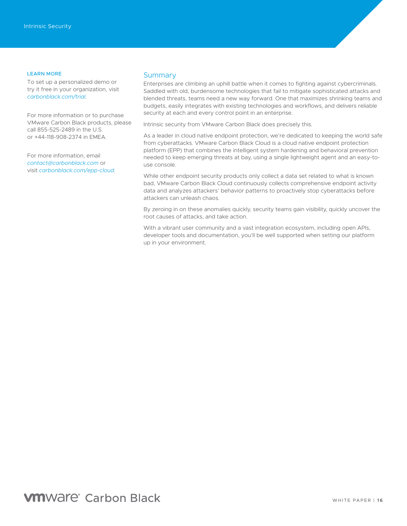### <span id="page-15-0"></span>LEARN MORE

To set up a personalized demo or try it free in your organization, visit *[carbonblack.com/trial.](https://www.carbonblack.com/request-a-demo/?lp=1&utm_source=field&utm_medium=event&utm_campaign=intrinsic-security&utm_term=none&utm_content=intrinsic-whitepaper)*

For more information or to purchase VMware Carbon Black products, please call 855-525-2489 in the U.S. or +44-118-908-2374 in EMEA.

For more information, email *[contact@carbonblack.com](mailto:Contact%40CarbonBlack.com?subject=)* or visit *[carbonblack.com/epp-cloud.](https://www.carbonblack.com/products/vmware-carbon-black-cloud/)*

### **Summary**

Enterprises are climbing an uphill battle when it comes to fighting against cybercriminals. Saddled with old, burdensome technologies that fail to mitigate sophisticated attacks and blended threats, teams need a new way forward. One that maximizes shrinking teams and budgets, easily integrates with existing technologies and workflows, and delivers reliable security at each and every control point in an enterprise.

Intrinsic security from VMware Carbon Black does precisely this.

As a leader in cloud native endpoint protection, we're dedicated to keeping the world safe from cyberattacks. VMware Carbon Black Cloud is a cloud native endpoint protection platform (EPP) that combines the intelligent system hardening and behavioral prevention needed to keep emerging threats at bay, using a single lightweight agent and an easy-touse console.

While other endpoint security products only collect a data set related to what is known bad, VMware Carbon Black Cloud continuously collects comprehensive endpoint activity data and analyzes attackers' behavior patterns to proactively stop cyberattacks before attackers can unleash chaos.

By zeroing in on these anomalies quickly, security teams gain visibility, quickly uncover the root causes of attacks, and take action.

With a vibrant user community and a vast integration ecosystem, including open APIs, developer tools and documentation, you'll be well supported when setting our platform up in your environment.